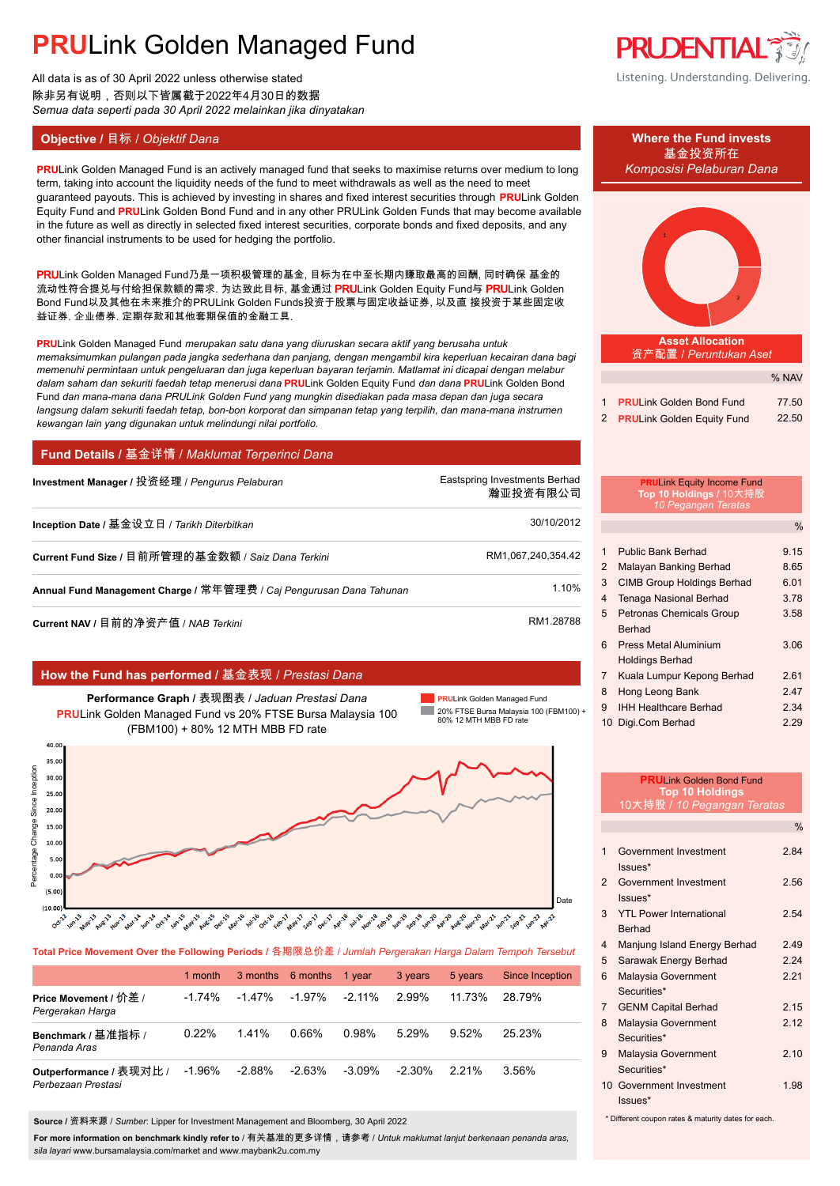All data is as of 30 April 2022 unless otherwise stated 除非另有说明,否则以下皆属截于2022年4月30日的数据 *Semua data seperti pada 30 April 2022 melainkan jika dinyatakan*

## **Objective /** 目标 / *Objektif Dana* **Where the Fund invests**

**PRULink Golden Managed Fund is an actively managed fund that seeks to maximise returns over medium to long** *Komposisi Pelaburan Dana* term, taking into account the liquidity needs of the fund to meet withdrawals as well as the need to meet guaranteed payouts. This is achieved by investing in shares and fixed interest securities through **PRU**Link Golden Equity Fund and **PRU**Link Golden Bond Fund and in any other PRULink Golden Funds that may become available in the future as well as directly in selected fixed interest securities, corporate bonds and fixed deposits, and any other financial instruments to be used for hedging the portfolio.

PRULink Golden Managed Fund乃是一项积极管理的基金, 目标为在中至长期内赚取最高的回酬, 同时确保 基金的 流动性符合提兑与付给担保款额的需求. 为达致此目标, 基金通过 PRULink Golden Equity Fund与 PRULink Golden Bond Fund以及其他在未来推介的PRULink Golden Funds投资于股票与固定收益证券, 以及直 接投资于某些固定收 益证券, 企业债券, 定期存款和其他套期保值的金融工具.

**PRU**Link Golden Managed Fund *merupakan satu dana yang diuruskan secara aktif yang berusaha untuk memaksimumkan pulangan pada jangka sederhana dan panjang, dengan mengambil kira keperluan kecairan dana bagi memenuhi permintaan untuk pengeluaran dan juga keperluan bayaran terjamin. Matlamat ini dicapai dengan melabur dalam saham dan sekuriti faedah tetap menerusi dana* **PRU**Link Golden Equity Fund *dan dana* **PRU**Link Golden Bond Fund *dan mana-mana dana PRULink Golden Fund yang mungkin disediakan pada masa depan dan juga secara langsung dalam sekuriti faedah tetap, bon-bon korporat dan simpanan tetap yang terpilih, dan mana-mana instrumen kewangan lain yang digunakan untuk melindungi nilai portfolio.*

## **Fund Details /** 基金详情 / *Maklumat Terperinci Dana*

| Investment Manager / 投资经理 / Pengurus Pelaburan                      | Eastspring Investments Berhad<br>瀚亚投资有限公司 |
|---------------------------------------------------------------------|-------------------------------------------|
| Inception Date / 基金设立日 / Tarikh Diterbitkan                         | 30/10/2012                                |
| Current Fund Size / 目前所管理的基金数额 / Saiz Dana Terkini                  | RM1,067,240,354.42                        |
| Annual Fund Management Charge / 常年管理费 / Caj Pengurusan Dana Tahunan | 1.10%                                     |
|                                                                     |                                           |

**Current NAV /** 目前的净资产值 / *NAB Terkini* RM1.28788.

## **How the Fund has performed /** 基金表现 / *Prestasi Dana*

**Performance Graph /** 表现图表 / *Jaduan Prestasi Dana* **PRU**Link Golden Managed Fund vs 20% FTSE Bursa Malaysia 100 (FBM100) + 80% 12 MTH MBB FD rate

**PRU**Link Golden Managed Fund la s 20% FTSE Bursa Malaysia 100 (FBM100) + 80% 12 MTH MBB FD rate



**Total Price Movement Over the Following Periods /** 各期限总价差 / *Jumlah Pergerakan Harga Dalam Tempoh Tersebut*

|                                               | 1 month  |           | 3 months 6 months | 1 vear    | 3 years  | 5 years  | Since Inception |
|-----------------------------------------------|----------|-----------|-------------------|-----------|----------|----------|-----------------|
| Price Movement / 价差 /<br>Pergerakan Harga     | $-1.74%$ | $-1.47\%$ | $-1.97\%$         | $-2.11\%$ | 2.99%    | 11.73%   | 28.79%          |
| Benchmark / 基准指标 /<br>Penanda Aras            | 0.22%    | 1.41%     | 0.66%             | 0.98%     | $5.29\%$ | $9.52\%$ | 25 23%          |
| Outperformance / 表现对比 /<br>Perbezaan Prestasi | $-1.96%$ | $-2.88\%$ | $-2.63%$          | $-3.09\%$ | -2.30%   | 2.21%    | $3.56\%$        |

**Source /** 资料来源 / *Sumber*: Lipper for Investment Management and Bloomberg, 30 April 2022

**For more information on benchmark kindly refer to** / 有关基准的更多详情,请参考 / *Untuk maklumat lanjut berkenaan penanda aras, sila layari* www.bursamalaysia.com/market and www.maybank2u.com.my



基金投资所在



| 2 PRULink Golden Equity Fund | 22.50 |
|------------------------------|-------|

|                | <b>PRULink Equity Income Fund</b><br>Top 10 Holdings / 10大持股<br>10 Pegangan Teratas |      |
|----------------|-------------------------------------------------------------------------------------|------|
|                |                                                                                     | $\%$ |
| $\mathbf 1$    | <b>Public Bank Berhad</b>                                                           | 9.15 |
| 2              | Malayan Banking Berhad                                                              | 8.65 |
| 3              | <b>CIMB Group Holdings Berhad</b>                                                   | 6.01 |
| 4              | <b>Tenaga Nasional Berhad</b>                                                       | 3.78 |
| 5              | <b>Petronas Chemicals Group</b>                                                     | 3.58 |
|                | Berhad                                                                              |      |
| 6              | <b>Press Metal Aluminium</b>                                                        | 3.06 |
|                | Holdings Berhad                                                                     |      |
| $\overline{7}$ | Kuala Lumpur Kepong Berhad                                                          | 2.61 |
| 8              | Hong Leong Bank                                                                     | 2.47 |
| 9              | <b>IHH Healthcare Berhad</b>                                                        | 2.34 |
| 10             | Digi.Com Berhad                                                                     | 2.29 |

| <b>PRULink Golden Bond Fund</b>                     |                                    |               |
|-----------------------------------------------------|------------------------------------|---------------|
|                                                     | <b>Top 10 Holdings</b>             |               |
|                                                     | 10大持股 / 10 Pegangan Teratas        |               |
|                                                     |                                    | $\frac{0}{0}$ |
| 1                                                   | Government Investment<br>Issues*   | 284           |
| $\mathcal{P}$                                       | Government Investment<br>$lssues*$ | 2.56          |
| 3                                                   | <b>YTL Power International</b>     | 2.54          |
|                                                     | <b>Berhad</b>                      |               |
| 4                                                   | Manjung Island Energy Berhad       | 2.49          |
| 5                                                   | Sarawak Energy Berhad              | 2.24          |
| 6                                                   | Malaysia Government                | 2.21          |
|                                                     | Securities*                        |               |
| $\overline{7}$                                      | <b>GENM Capital Berhad</b>         | 2.15          |
| 8                                                   | Malaysia Government                | 2.12          |
|                                                     | Securities*                        |               |
| 9                                                   | Malaysia Government                | 2.10          |
|                                                     | Securities*                        |               |
| $10-10$                                             | Government Investment              | 1.98          |
|                                                     | $lssues*$                          |               |
| * Different coupon rates & maturity dates for each. |                                    |               |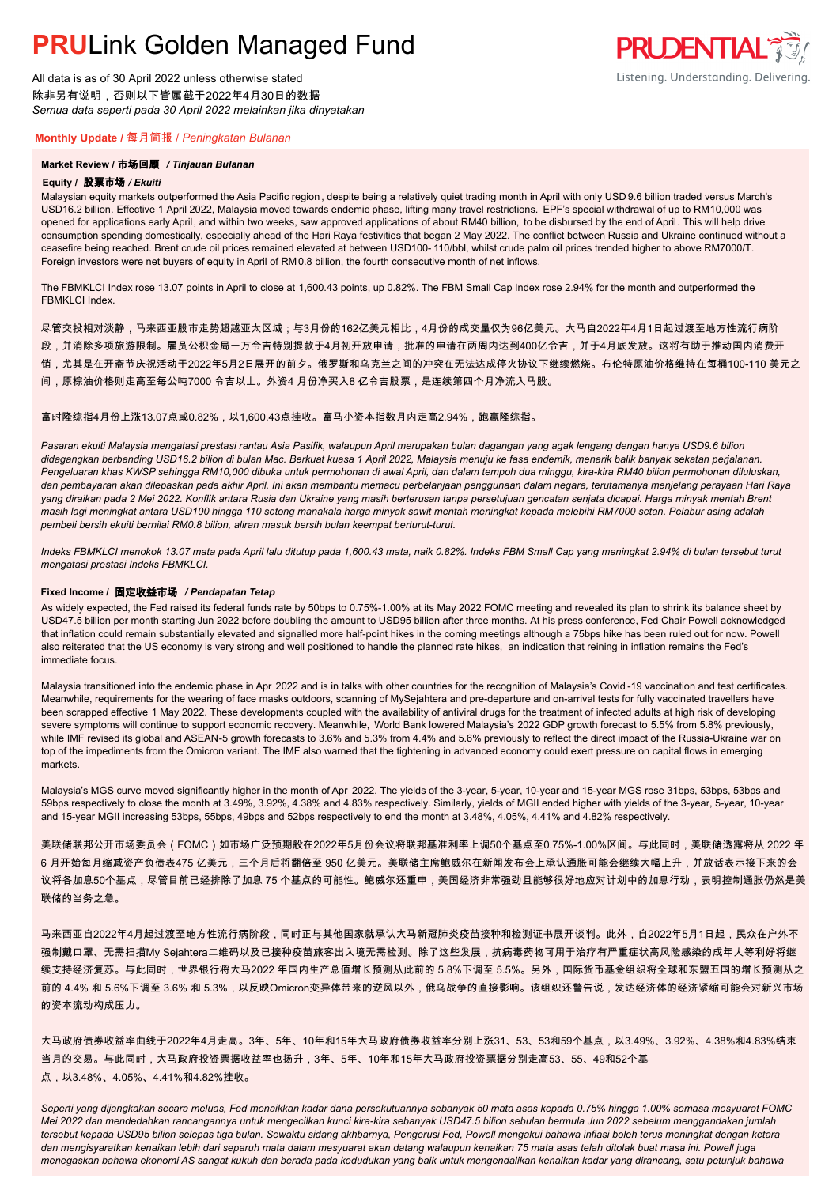All data is as of 30 April 2022 unless otherwise stated 除非另有说明,否则以下皆属截于2022年4月30日的数据 *Semua data seperti pada 30 April 2022 melainkan jika dinyatakan*

## **Monthly Update /** 每月简报 / *Peningkatan Bulanan*

## **Market Review /** 市场回顾 */ Tinjauan Bulanan*

### **Equity /** 股票市场 */ Ekuiti.*

Malaysian equity markets outperformed the Asia Pacific region , despite being a relatively quiet trading month in April with only USD 9.6 billion traded versus March's USD16.2 billion. Effective 1 April 2022, Malaysia moved towards endemic phase, lifting many travel restrictions. EPF's special withdrawal of up to RM10,000 was opened for applications early April, and within two weeks, saw approved applications of about RM40 billion, to be disbursed by the end of April. This will help drive consumption spending domestically, especially ahead of the Hari Raya festivities that began 2 May 2022. The conflict between Russia and Ukraine continued without a ceasefire being reached. Brent crude oil prices remained elevated at between USD100- 110/bbl, whilst crude palm oil prices trended higher to above RM7000/T. Foreign investors were net buyers of equity in April of RM0.8 billion, the fourth consecutive month of net inflows.

**PRUDENTIAL 35** 

Listening. Understanding. Delivering.

The FBMKLCI Index rose 13.07 points in April to close at 1,600.43 points, up 0.82%. The FBM Small Cap Index rose 2.94% for the month and outperformed the FRMKLCI Index

尽管交投相对淡静,马来西亚股市走势超越亚太区域;与3月份的162亿美元相比,4月份的成交量仅为96亿美元。大马自2022年4月1日起过渡至地方性流行病阶

- 段,并消除多项旅游限制。雇员公积金局一万令吉特别提款于4月初开放申请,批准的申请在两周内达到400亿令吉,并于4月底发放。这将有助于推动国内消费开
- 销,尤其是在开斋节庆祝活动于2022年5月2日展开的前夕。俄罗斯和乌克兰之间的冲突在无法达成停火协议下继续燃烧。布伦特原油价格维持在每桶100-110 美元之
- 间,原棕油价格则走高至每公吨7000 令吉以上。外资4 月份净买入8 亿令吉股票,是连续第四个月净流入马股。

## 富时隆综指4月份上涨13.07点或0.82%,以1,600.43点挂收。富马小资本指数月内走高2.94%,跑赢隆综指。

*Pasaran ekuiti Malaysia mengatasi prestasi rantau Asia Pasifik, walaupun April merupakan bulan dagangan yang agak lengang dengan hanya USD9.6 bilion didagangkan berbanding USD16.2 bilion di bulan Mac. Berkuat kuasa 1 April 2022, Malaysia menuju ke fasa endemik, menarik balik banyak sekatan perjalanan. Pengeluaran khas KWSP sehingga RM10,000 dibuka untuk permohonan di awal April, dan dalam tempoh dua minggu, kira-kira RM40 bilion permohonan diluluskan, dan pembayaran akan dilepaskan pada akhir April. Ini akan membantu memacu perbelanjaan penggunaan dalam negara, terutamanya menjelang perayaan Hari Raya yang diraikan pada 2 Mei 2022. Konflik antara Rusia dan Ukraine yang masih berterusan tanpa persetujuan gencatan senjata dicapai. Harga minyak mentah Brent masih lagi meningkat antara USD100 hingga 110 setong manakala harga minyak sawit mentah meningkat kepada melebihi RM7000 setan. Pelabur asing adalah pembeli bersih ekuiti bernilai RM0.8 bilion, aliran masuk bersih bulan keempat berturut-turut.*

*Indeks FBMKLCI menokok 13.07 mata pada April lalu ditutup pada 1,600.43 mata, naik 0.82%. Indeks FBM Small Cap yang meningkat 2.94% di bulan tersebut turut mengatasi prestasi Indeks FBMKLCI.*

### **Fixed Income /** 固定收益市场 */ Pendapatan Tetap*

*.* As widely expected, the Fed raised its federal funds rate by 50bps to 0.75%-1.00% at its May 2022 FOMC meeting and revealed its plan to shrink its balance sheet by USD47.5 billion per month starting Jun 2022 before doubling the amount to USD95 billion after three months. At his press conference, Fed Chair Powell acknowledged that inflation could remain substantially elevated and signalled more half-point hikes in the coming meetings although a 75bps hike has been ruled out for now. Powell also reiterated that the US economy is very strong and well positioned to handle the planned rate hikes, an indication that reining in inflation remains the Fed's immediate focus.

Malaysia transitioned into the endemic phase in Apr 2022 and is in talks with other countries for the recognition of Malaysia's Covid -19 vaccination and test certificates. Meanwhile, requirements for the wearing of face masks outdoors, scanning of MySejahtera and pre-departure and on-arrival tests for fully vaccinated travellers have been scrapped effective 1 May 2022. These developments coupled with the availability of antiviral drugs for the treatment of infected adults at high risk of developing severe symptoms will continue to support economic recovery. Meanwhile, World Bank lowered Malaysia's 2022 GDP growth forecast to 5.5% from 5.8% previously, while IMF revised its global and ASEAN-5 growth forecasts to 3.6% and 5.3% from 4.4% and 5.6% previously to reflect the direct impact of the Russia-Ukraine war on top of the impediments from the Omicron variant. The IMF also warned that the tightening in advanced economy could exert pressure on capital flows in emerging markets.

Malaysia's MGS curve moved significantly higher in the month of Apr 2022. The yields of the 3-year, 5-year, 10-year and 15-year MGS rose 31bps, 53bps, 53bps and 59bps respectively to close the month at 3.49%, 3.92%, 4.38% and 4.83% respectively. Similarly, yields of MGII ended higher with yields of the 3-year, 5-year, 10-year and 15-year MGII increasing 53bps, 55bps, 49bps and 52bps respectively to end the month at 3.48%, 4.05%, 4.41% and 4.82% respectively.

美联储联邦公开市场委员会(FOMC)如市场广泛预期般在2022年5月份会议将联邦基准利率上调50个基点至0.75%-1.00%区间。与此同时,美联储透露将从 2022 年 6 月开始每月缩减资产负债表475 亿美元,三个月后将翻倍至 950 亿美元。美联储主席鲍威尔在新闻发布会上承认通胀可能会继续大幅上升,并放话表示接下来的会 议将各加息50个基点,尽管目前已经排除了加息 75 个基点的可能性。鲍威尔还重申,美国经济非常强劲且能够很好地应对计划中的加息行动,表明控制通胀仍然是美 联储的当务之急。

马来西亚自2022年4月起过渡至地方性流行病阶段,同时正与其他国家就承认大马新冠肺炎疫苗接种和检测证书展开谈判。此外,自2022年5月1日起,民众在户外不 强制戴口罩、无需扫描My Sejahtera二维码以及已接种疫苗旅客出入境无需检测。除了这些发展,抗病毒药物可用于治疗有严重症状高风险感染的成年人等利好将继 续支持经济复苏。与此同时,世界银行将大马2022 年国内生产总值增长预测从此前的 5.8%下调至 5.5%。另外,国际货币基金组织将全球和东盟五国的增长预测从之 前的 4.4% 和 5.6%下调至 3.6% 和 5.3%,以反映Omicron变异体带来的逆风以外,俄乌战争的直接影响。该组织还警告说,发达经济体的经济紧缩可能会对新兴市场 的资本流动构成压力。

大马政府债券收益率曲线于2022年4月走高。3年、5年、10年和15年大马政府债券收益率分别上涨31、53、53和59个基点,以3.49%、3.92%、4.38%和4.83%结束 当月的交易。与此同时,大马政府投资票据收益率也扬升,3年、5年、10年和15年大马政府投资票据分别走高53、55、49和52个基 点,以3.48%、4.05%、4.41%和4.82%挂收。

*Seperti yang dijangkakan secara meluas, Fed menaikkan kadar dana persekutuannya sebanyak 50 mata asas kepada 0.75% hingga 1.00% semasa mesyuarat FOMC Mei 2022 dan mendedahkan rancangannya untuk mengecilkan kunci kira-kira sebanyak USD47.5 bilion sebulan bermula Jun 2022 sebelum menggandakan jumlah tersebut kepada USD95 bilion selepas tiga bulan. Sewaktu sidang akhbarnya, Pengerusi Fed, Powell mengakui bahawa inflasi boleh terus meningkat dengan ketara dan mengisyaratkan kenaikan lebih dari separuh mata dalam mesyuarat akan datang walaupun kenaikan 75 mata asas telah ditolak buat masa ini. Powell juga menegaskan bahawa ekonomi AS sangat kukuh dan berada pada kedudukan yang baik untuk mengendalikan kenaikan kadar yang dirancang, satu petunjuk bahawa*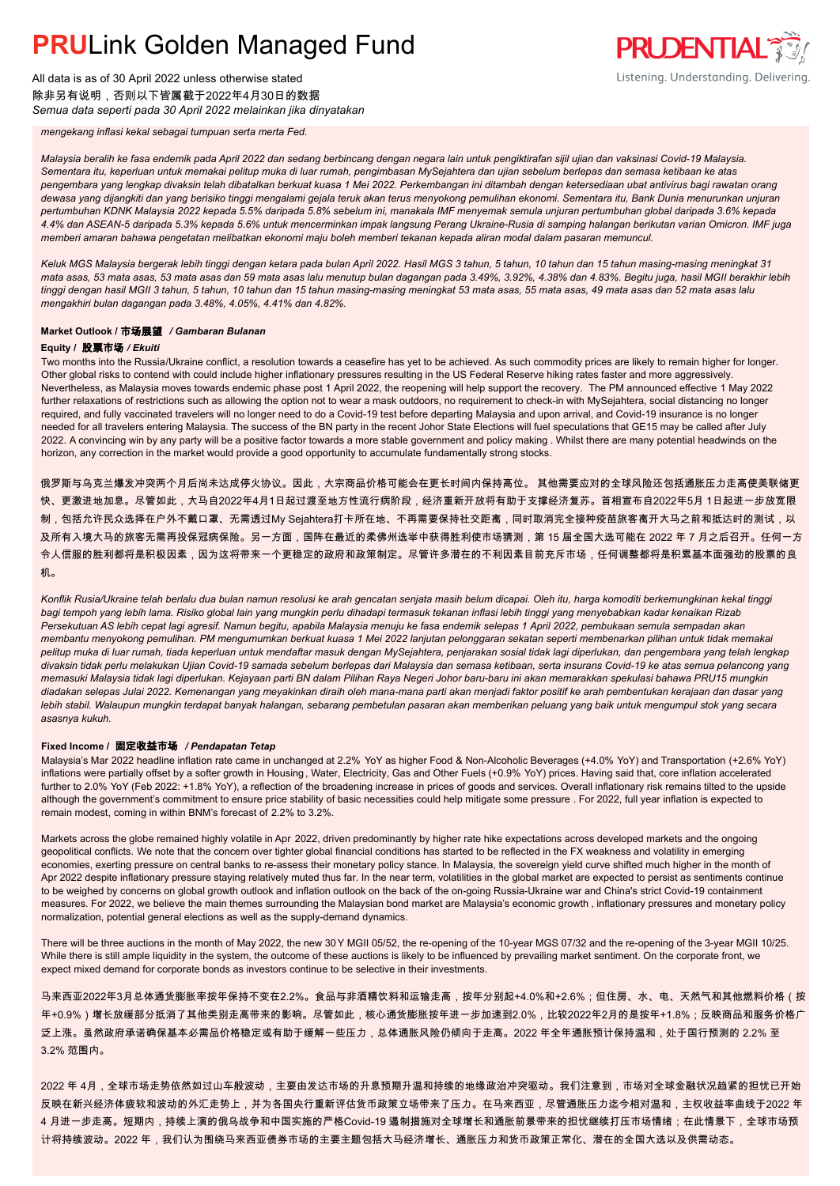All data is as of 30 April 2022 unless otherwise stated 除非另有说明,否则以下皆属截于2022年4月30日的数据 *Semua data seperti pada 30 April 2022 melainkan jika dinyatakan*



*mengekang inflasi kekal sebagai tumpuan serta merta Fed.*

*Malaysia beralih ke fasa endemik pada April 2022 dan sedang berbincang dengan negara lain untuk pengiktirafan sijil ujian dan vaksinasi Covid-19 Malaysia. Sementara itu, keperluan untuk memakai pelitup muka di luar rumah, pengimbasan MySejahtera dan ujian sebelum berlepas dan semasa ketibaan ke atas pengembara yang lengkap divaksin telah dibatalkan berkuat kuasa 1 Mei 2022. Perkembangan ini ditambah dengan ketersediaan ubat antivirus bagi rawatan orang dewasa yang dijangkiti dan yang berisiko tinggi mengalami gejala teruk akan terus menyokong pemulihan ekonomi. Sementara itu, Bank Dunia menurunkan unjuran pertumbuhan KDNK Malaysia 2022 kepada 5.5% daripada 5.8% sebelum ini, manakala IMF menyemak semula unjuran pertumbuhan global daripada 3.6% kepada 4.4% dan ASEAN-5 daripada 5.3% kepada 5.6% untuk mencerminkan impak langsung Perang Ukraine-Rusia di samping halangan berikutan varian Omicron. IMF juga memberi amaran bahawa pengetatan melibatkan ekonomi maju boleh memberi tekanan kepada aliran modal dalam pasaran memuncul.*

*Keluk MGS Malaysia bergerak lebih tinggi dengan ketara pada bulan April 2022. Hasil MGS 3 tahun, 5 tahun, 10 tahun dan 15 tahun masing-masing meningkat 31 mata asas, 53 mata asas, 53 mata asas dan 59 mata asas lalu menutup bulan dagangan pada 3.49%, 3.92%, 4.38% dan 4.83%. Begitu juga, hasil MGII berakhir lebih tinggi dengan hasil MGII 3 tahun, 5 tahun, 10 tahun dan 15 tahun masing-masing meningkat 53 mata asas, 55 mata asas, 49 mata asas dan 52 mata asas lalu mengakhiri bulan dagangan pada 3.48%, 4.05%, 4.41% dan 4.82%.*

### **Market Outlook /** 市场展望 */ Gambaran Bulanan*

### **Equity /** 股票市场 */ Ekuiti*

Two months into the Russia/Ukraine conflict, a resolution towards a ceasefire has yet to be achieved. As such commodity prices are likely to remain higher for longer. Other global risks to contend with could include higher inflationary pressures resulting in the US Federal Reserve hiking rates faster and more aggressively. Nevertheless, as Malaysia moves towards endemic phase post 1 April 2022, the reopening will help support the recovery. The PM announced effective 1 May 2022 further relaxations of restrictions such as allowing the option not to wear a mask outdoors, no requirement to check-in with MySejahtera, social distancing no longer required, and fully vaccinated travelers will no longer need to do a Covid-19 test before departing Malaysia and upon arrival, and Covid-19 insurance is no longer needed for all travelers entering Malaysia. The success of the BN party in the recent Johor State Elections will fuel speculations that GE15 may be called after July 2022. A convincing win by any party will be a positive factor towards a more stable government and policy making . Whilst there are many potential headwinds on the horizon, any correction in the market would provide a good opportunity to accumulate fundamentally strong stocks.

俄罗斯与乌克兰爆发冲突两个月后尚未达成停火协议。因此,大宗商品价格可能会在更长时间内保持高位。 其他需要应对的全球风险还包括通胀压力走高使美联储更 快、更激进地加息。尽管如此,大马自2022年4月1日起过渡至地方性流行病阶段,经济重新开放将有助于支撑经济复苏。首相宣布自2022年5月 1日起进一步放宽限 制,包括允许民众选择在户外不戴口罩、无需透过My Sejahtera打卡所在地、不再需要保持社交距离,同时取消完全接种疫苗旅客离开大马之前和抵达时的测试,以 及所有入境大马的旅客无需再投保冠病保险。另一方面,国阵在最近的柔佛州选举中获得胜利使市场猜测,第 15 届全国大选可能在 2022 年 7 月之后召开。任何一方 令人信服的胜利都将是积极因素,因为这将带来一个更稳定的政府和政策制定。尽管许多潜在的不利因素目前充斥市场,任何调整都将是积累基本面强劲的股票的良 机。

*Konflik Rusia/Ukraine telah berlalu dua bulan namun resolusi ke arah gencatan senjata masih belum dicapai. Oleh itu, harga komoditi berkemungkinan kekal tinggi bagi tempoh yang lebih lama. Risiko global lain yang mungkin perlu dihadapi termasuk tekanan inflasi lebih tinggi yang menyebabkan kadar kenaikan Rizab Persekutuan AS lebih cepat lagi agresif. Namun begitu, apabila Malaysia menuju ke fasa endemik selepas 1 April 2022, pembukaan semula sempadan akan membantu menyokong pemulihan. PM mengumumkan berkuat kuasa 1 Mei 2022 lanjutan pelonggaran sekatan seperti membenarkan pilihan untuk tidak memakai pelitup muka di luar rumah, tiada keperluan untuk mendaftar masuk dengan MySejahtera, penjarakan sosial tidak lagi diperlukan, dan pengembara yang telah lengkap divaksin tidak perlu melakukan Ujian Covid-19 samada sebelum berlepas dari Malaysia dan semasa ketibaan, serta insurans Covid-19 ke atas semua pelancong yang memasuki Malaysia tidak lagi diperlukan. Kejayaan parti BN dalam Pilihan Raya Negeri Johor baru-baru ini akan memarakkan spekulasi bahawa PRU15 mungkin diadakan selepas Julai 2022. Kemenangan yang meyakinkan diraih oleh mana-mana parti akan menjadi faktor positif ke arah pembentukan kerajaan dan dasar yang lebih stabil. Walaupun mungkin terdapat banyak halangan, sebarang pembetulan pasaran akan memberikan peluang yang baik untuk mengumpul stok yang secara asasnya kukuh.*

### **Fixed Income /** 固定收益市场 */ Pendapatan Tetap*

*.* Malaysia's Mar 2022 headline inflation rate came in unchanged at 2.2% YoY as higher Food & Non-Alcoholic Beverages (+4.0% YoY) and Transportation (+2.6% YoY) inflations were partially offset by a softer growth in Housing, Water, Electricity, Gas and Other Fuels (+0.9% YoY) prices. Having said that, core inflation accelerated further to 2.0% YoY (Feb 2022: +1.8% YoY), a reflection of the broadening increase in prices of goods and services. Overall inflationary risk remains tilted to the upside although the government's commitment to ensure price stability of basic necessities could help mitigate some pressure . For 2022, full year inflation is expected to remain modest, coming in within BNM's forecast of 2.2% to 3.2%.

Markets across the globe remained highly volatile in Apr 2022, driven predominantly by higher rate hike expectations across developed markets and the ongoing geopolitical conflicts. We note that the concern over tighter global financial conditions has started to be reflected in the FX weakness and volatility in emerging economies, exerting pressure on central banks to re-assess their monetary policy stance. In Malaysia, the sovereign yield curve shifted much higher in the month of Apr 2022 despite inflationary pressure staying relatively muted thus far. In the near term, volatilities in the global market are expected to persist as sentiments continue to be weighed by concerns on global growth outlook and inflation outlook on the back of the on-going Russia-Ukraine war and China's strict Covid-19 containment measures. For 2022, we believe the main themes surrounding the Malaysian bond market are Malaysia's economic growth , inflationary pressures and monetary policy normalization, potential general elections as well as the supply-demand dynamics.

There will be three auctions in the month of May 2022, the new 30Y MGII 05/52, the re-opening of the 10-year MGS 07/32 and the re-opening of the 3-year MGII 10/25. While there is still ample liquidity in the system, the outcome of these auctions is likely to be influenced by prevailing market sentiment. On the corporate front, we expect mixed demand for corporate bonds as investors continue to be selective in their investments.

马来西亚2022年3月总体通货膨胀率按年保持不变在2.2%。食品与非酒精饮料和运输走高,按年分别起+4.0%和+2.6%;但住房、水、电、天然气和其他燃料价格(按 年+0.9%)增长放缓部分抵消了其他类别走高带来的影响。尽管如此,核心通货膨胀按年进一步加速到2.0%,比较2022年2月的是按年+1.8%;反映商品和服务价格广 泛上涨。虽然政府承诺确保基本必需品价格稳定或有助于缓解一些压力,总体通胀风险仍倾向于走高。2022 年全年通胀预计保持温和,处于国行预测的 2.2% 至 3.2% 范围内。

2022 年 4月,全球市场走势依然如过山车般波动,主要由发达市场的升息预期升温和持续的地缘政治冲突驱动。我们注意到,市场对全球金融状况趋紧的担忧已开始 反映在新兴经济体疲软和波动的外汇走势上,并为各国央行重新评估货币政策立场带来了压力。在马来西亚,尽管通胀压力迄今相对温和,主权收益率曲线于2022 年 4 月进一步走高。短期内,持续上演的俄乌战争和中国实施的严格Covid-19 遏制措施对全球增长和通胀前景带来的担忧继续打压市场情绪;在此情景下,全球市场预 计将持续波动。2022 年,我们认为围绕马来西亚债券市场的主要主题包括大马经济增长、通胀压力和货币政策正常化、潜在的全国大选以及供需动态。